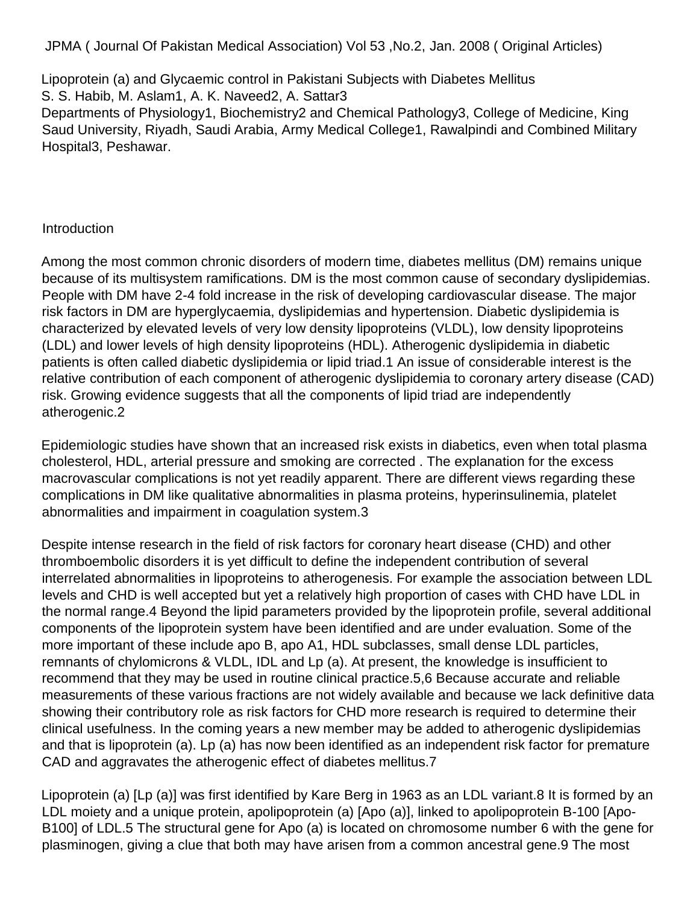JPMA ( Journal Of Pakistan Medical Association) Vol 53 ,No.2, Jan. 2008 ( Original Articles)

Lipoprotein (a) and Glycaemic control in Pakistani Subjects with Diabetes Mellitus S. S. Habib, M. Aslam1, A. K. Naveed2, A. Sattar3 Departments of Physiology1, Biochemistry2 and Chemical Pathology3, College of Medicine, King Saud University, Riyadh, Saudi Arabia, Army Medical College1, Rawalpindi and Combined Military Hospital3, Peshawar.

### **Introduction**

Among the most common chronic disorders of modern time, diabetes mellitus (DM) remains unique because of its multisystem ramifications. DM is the most common cause of secondary dyslipidemias. People with DM have 2-4 fold increase in the risk of developing cardiovascular disease. The major risk factors in DM are hyperglycaemia, dyslipidemias and hypertension. Diabetic dyslipidemia is characterized by elevated levels of very low density lipoproteins (VLDL), low density lipoproteins (LDL) and lower levels of high density lipoproteins (HDL). Atherogenic dyslipidemia in diabetic patients is often called diabetic dyslipidemia or lipid triad.1 An issue of considerable interest is the relative contribution of each component of atherogenic dyslipidemia to coronary artery disease (CAD) risk. Growing evidence suggests that all the components of lipid triad are independently atherogenic.2

Epidemiologic studies have shown that an increased risk exists in diabetics, even when total plasma cholesterol, HDL, arterial pressure and smoking are corrected . The explanation for the excess macrovascular complications is not yet readily apparent. There are different views regarding these complications in DM like qualitative abnormalities in plasma proteins, hyperinsulinemia, platelet abnormalities and impairment in coagulation system.3

Despite intense research in the field of risk factors for coronary heart disease (CHD) and other thromboembolic disorders it is yet difficult to define the independent contribution of several interrelated abnormalities in lipoproteins to atherogenesis. For example the association between LDL levels and CHD is well accepted but yet a relatively high proportion of cases with CHD have LDL in the normal range.4 Beyond the lipid parameters provided by the lipoprotein profile, several additional components of the lipoprotein system have been identified and are under evaluation. Some of the more important of these include apo B, apo A1, HDL subclasses, small dense LDL particles, remnants of chylomicrons & VLDL, IDL and Lp (a). At present, the knowledge is insufficient to recommend that they may be used in routine clinical practice.5,6 Because accurate and reliable measurements of these various fractions are not widely available and because we lack definitive data showing their contributory role as risk factors for CHD more research is required to determine their clinical usefulness. In the coming years a new member may be added to atherogenic dyslipidemias and that is lipoprotein (a). Lp (a) has now been identified as an independent risk factor for premature CAD and aggravates the atherogenic effect of diabetes mellitus.7

Lipoprotein (a) [Lp (a)] was first identified by Kare Berg in 1963 as an LDL variant.8 It is formed by an LDL moiety and a unique protein, apolipoprotein (a) [Apo (a)], linked to apolipoprotein B-100 [Apo-B100] of LDL.5 The structural gene for Apo (a) is located on chromosome number 6 with the gene for plasminogen, giving a clue that both may have arisen from a common ancestral gene.9 The most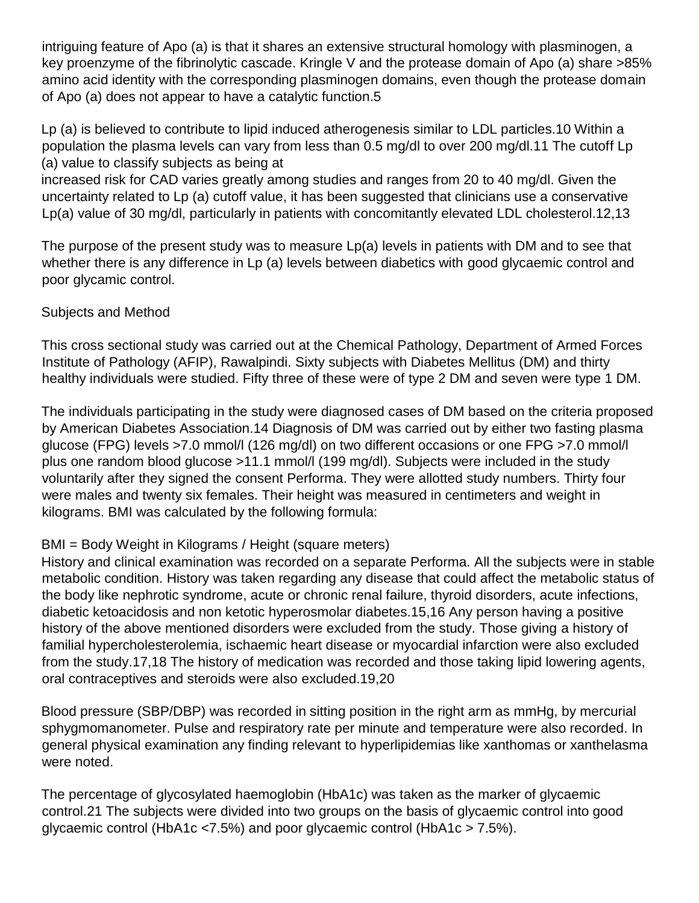intriguing feature of Apo (a) is that it shares an extensive structural homology with plasminogen, a key proenzyme of the fibrinolytic cascade. Kringle V and the protease domain of Apo (a) share >85% amino acid identity with the corresponding plasminogen domains, even though the protease domain of Apo (a) does not appear to have a catalytic function.5

Lp (a) is believed to contribute to lipid induced atherogenesis similar to LDL particles.10 Within a population the plasma levels can vary from less than 0.5 mg/dl to over 200 mg/dl.11 The cutoff Lp (a) value to classify subjects as being at

increased risk for CAD varies greatly among studies and ranges from 20 to 40 mg/dl. Given the uncertainty related to Lp (a) cutoff value, it has been suggested that clinicians use a conservative Lp(a) value of 30 mg/dl, particularly in patients with concomitantly elevated LDL cholesterol.12,13

The purpose of the present study was to measure Lp(a) levels in patients with DM and to see that whether there is any difference in Lp (a) levels between diabetics with good glycaemic control and poor glycamic control.

#### Subjects and Method

This cross sectional study was carried out at the Chemical Pathology, Department of Armed Forces Institute of Pathology (AFIP), Rawalpindi. Sixty subjects with Diabetes Mellitus (DM) and thirty healthy individuals were studied. Fifty three of these were of type 2 DM and seven were type 1 DM.

The individuals participating in the study were diagnosed cases of DM based on the criteria proposed by American Diabetes Association.14 Diagnosis of DM was carried out by either two fasting plasma glucose (FPG) levels >7.0 mmol/l (126 mg/dl) on two different occasions or one FPG >7.0 mmol/l plus one random blood glucose >11.1 mmol/l (199 mg/dl). Subjects were included in the study voluntarily after they signed the consent Performa. They were allotted study numbers. Thirty four were males and twenty six females. Their height was measured in centimeters and weight in kilograms. BMI was calculated by the following formula:

# BMI = Body Weight in Kilograms / Height (square meters)

History and clinical examination was recorded on a separate Performa. All the subjects were in stable metabolic condition. History was taken regarding any disease that could affect the metabolic status of the body like nephrotic syndrome, acute or chronic renal failure, thyroid disorders, acute infections, diabetic ketoacidosis and non ketotic hyperosmolar diabetes.15,16 Any person having a positive history of the above mentioned disorders were excluded from the study. Those giving a history of familial hypercholesterolemia, ischaemic heart disease or myocardial infarction were also excluded from the study.17,18 The history of medication was recorded and those taking lipid lowering agents, oral contraceptives and steroids were also excluded.19,20

Blood pressure (SBP/DBP) was recorded in sitting position in the right arm as mmHg, by mercurial sphygmomanometer. Pulse and respiratory rate per minute and temperature were also recorded. In general physical examination any finding relevant to hyperlipidemias like xanthomas or xanthelasma were noted.

The percentage of glycosylated haemoglobin (HbA1c) was taken as the marker of glycaemic control.21 The subjects were divided into two groups on the basis of glycaemic control into good glycaemic control (HbA1c <7.5%) and poor glycaemic control (HbA1c > 7.5%).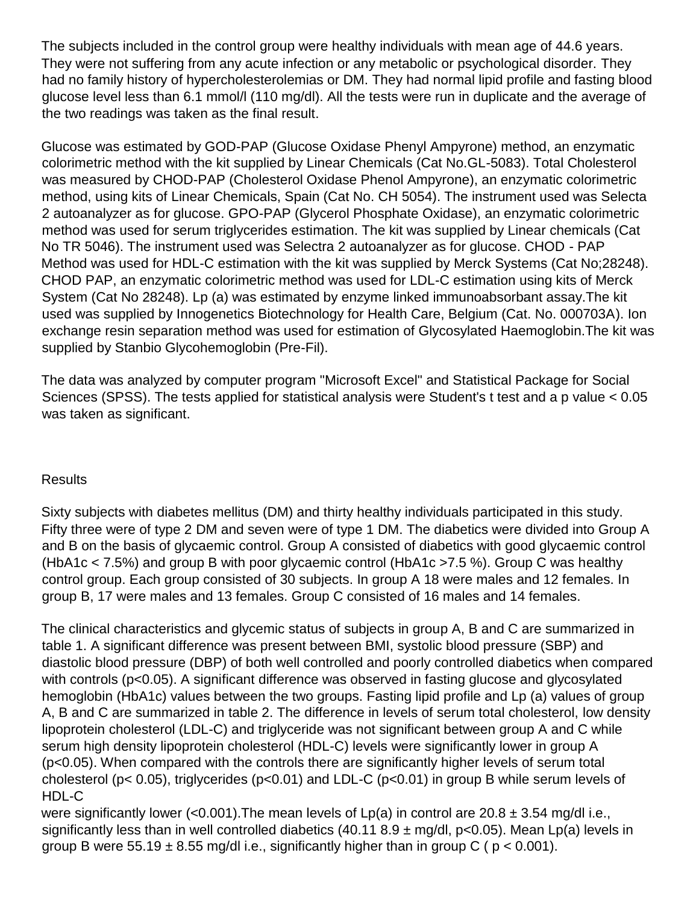The subjects included in the control group were healthy individuals with mean age of 44.6 years. They were not suffering from any acute infection or any metabolic or psychological disorder. They had no family history of hypercholesterolemias or DM. They had normal lipid profile and fasting blood glucose level less than 6.1 mmol/l (110 mg/dl). All the tests were run in duplicate and the average of the two readings was taken as the final result.

Glucose was estimated by GOD-PAP (Glucose Oxidase Phenyl Ampyrone) method, an enzymatic colorimetric method with the kit supplied by Linear Chemicals (Cat No.GL-5083). Total Cholesterol was measured by CHOD-PAP (Cholesterol Oxidase Phenol Ampyrone), an enzymatic colorimetric method, using kits of Linear Chemicals, Spain (Cat No. CH 5054). The instrument used was Selecta 2 autoanalyzer as for glucose. GPO-PAP (Glycerol Phosphate Oxidase), an enzymatic colorimetric method was used for serum triglycerides estimation. The kit was supplied by Linear chemicals (Cat No TR 5046). The instrument used was Selectra 2 autoanalyzer as for glucose. CHOD - PAP Method was used for HDL-C estimation with the kit was supplied by Merck Systems (Cat No;28248). CHOD PAP, an enzymatic colorimetric method was used for LDL-C estimation using kits of Merck System (Cat No 28248). Lp (a) was estimated by enzyme linked immunoabsorbant assay.The kit used was supplied by Innogenetics Biotechnology for Health Care, Belgium (Cat. No. 000703A). Ion exchange resin separation method was used for estimation of Glycosylated Haemoglobin.The kit was supplied by Stanbio Glycohemoglobin (Pre-Fil).

The data was analyzed by computer program "Microsoft Excel" and Statistical Package for Social Sciences (SPSS). The tests applied for statistical analysis were Student's t test and a p value < 0.05 was taken as significant.

#### **Results**

Sixty subjects with diabetes mellitus (DM) and thirty healthy individuals participated in this study. Fifty three were of type 2 DM and seven were of type 1 DM. The diabetics were divided into Group A and B on the basis of glycaemic control. Group A consisted of diabetics with good glycaemic control (HbA1c < 7.5%) and group B with poor glycaemic control (HbA1c >7.5 %). Group C was healthy control group. Each group consisted of 30 subjects. In group A 18 were males and 12 females. In group B, 17 were males and 13 females. Group C consisted of 16 males and 14 females.

The clinical characteristics and glycemic status of subjects in group A, B and C are summarized in table 1. A significant difference was present between BMI, systolic blood pressure (SBP) and diastolic blood pressure (DBP) of both well controlled and poorly controlled diabetics when compared with controls (p<0.05). A significant difference was observed in fasting glucose and glycosylated hemoglobin (HbA1c) values between the two groups. Fasting lipid profile and Lp (a) values of group A, B and C are summarized in table 2. The difference in levels of serum total cholesterol, low density lipoprotein cholesterol (LDL-C) and triglyceride was not significant between group A and C while serum high density lipoprotein cholesterol (HDL-C) levels were significantly lower in group A (p<0.05). When compared with the controls there are significantly higher levels of serum total cholesterol (p< 0.05), triglycerides (p<0.01) and LDL-C (p<0.01) in group B while serum levels of HDL-C

were significantly lower (<0.001). The mean levels of Lp(a) in control are  $20.8 \pm 3.54$  mg/d i.e., significantly less than in well controlled diabetics (40.11 8.9  $\pm$  mg/dl, p<0.05). Mean Lp(a) levels in group B were 55.19  $\pm$  8.55 mg/dl i.e., significantly higher than in group C ( $p < 0.001$ ).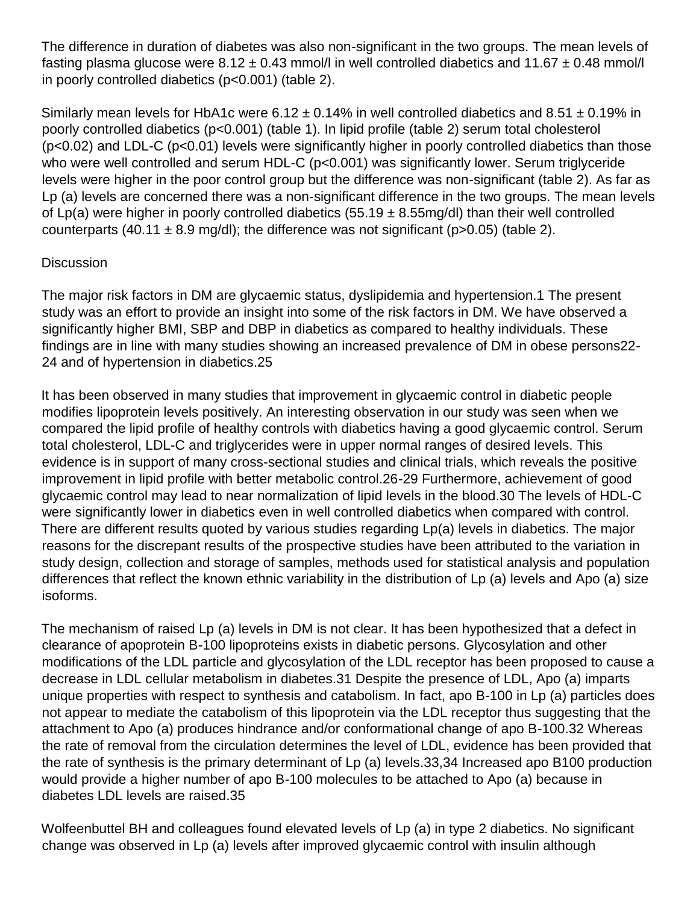The difference in duration of diabetes was also non-significant in the two groups. The mean levels of fasting plasma glucose were 8.12  $\pm$  0.43 mmol/l in well controlled diabetics and 11.67  $\pm$  0.48 mmol/l in poorly controlled diabetics (p<0.001) (table 2).

Similarly mean levels for HbA1c were 6.12  $\pm$  0.14% in well controlled diabetics and 8.51  $\pm$  0.19% in poorly controlled diabetics (p<0.001) (table 1). In lipid profile (table 2) serum total cholesterol  $(p<0.02)$  and LDL-C ( $p<0.01$ ) levels were significantly higher in poorly controlled diabetics than those who were well controlled and serum HDL-C (p<0.001) was significantly lower. Serum triglyceride levels were higher in the poor control group but the difference was non-significant (table 2). As far as Lp (a) levels are concerned there was a non-significant difference in the two groups. The mean levels of Lp(a) were higher in poorly controlled diabetics (55.19  $\pm$  8.55mg/dl) than their well controlled counterparts (40.11  $\pm$  8.9 mg/dl); the difference was not significant (p>0.05) (table 2).

### **Discussion**

The major risk factors in DM are glycaemic status, dyslipidemia and hypertension.1 The present study was an effort to provide an insight into some of the risk factors in DM. We have observed a significantly higher BMI, SBP and DBP in diabetics as compared to healthy individuals. These findings are in line with many studies showing an increased prevalence of DM in obese persons22- 24 and of hypertension in diabetics.25

It has been observed in many studies that improvement in glycaemic control in diabetic people modifies lipoprotein levels positively. An interesting observation in our study was seen when we compared the lipid profile of healthy controls with diabetics having a good glycaemic control. Serum total cholesterol, LDL-C and triglycerides were in upper normal ranges of desired levels. This evidence is in support of many cross-sectional studies and clinical trials, which reveals the positive improvement in lipid profile with better metabolic control.26-29 Furthermore, achievement of good glycaemic control may lead to near normalization of lipid levels in the blood.30 The levels of HDL-C were significantly lower in diabetics even in well controlled diabetics when compared with control. There are different results quoted by various studies regarding Lp(a) levels in diabetics. The major reasons for the discrepant results of the prospective studies have been attributed to the variation in study design, collection and storage of samples, methods used for statistical analysis and population differences that reflect the known ethnic variability in the distribution of Lp (a) levels and Apo (a) size isoforms.

The mechanism of raised Lp (a) levels in DM is not clear. It has been hypothesized that a defect in clearance of apoprotein B-100 lipoproteins exists in diabetic persons. Glycosylation and other modifications of the LDL particle and glycosylation of the LDL receptor has been proposed to cause a decrease in LDL cellular metabolism in diabetes.31 Despite the presence of LDL, Apo (a) imparts unique properties with respect to synthesis and catabolism. In fact, apo B-100 in Lp (a) particles does not appear to mediate the catabolism of this lipoprotein via the LDL receptor thus suggesting that the attachment to Apo (a) produces hindrance and/or conformational change of apo B-100.32 Whereas the rate of removal from the circulation determines the level of LDL, evidence has been provided that the rate of synthesis is the primary determinant of Lp (a) levels.33,34 Increased apo B100 production would provide a higher number of apo B-100 molecules to be attached to Apo (a) because in diabetes LDL levels are raised.35

Wolfeenbuttel BH and colleagues found elevated levels of Lp (a) in type 2 diabetics. No significant change was observed in Lp (a) levels after improved glycaemic control with insulin although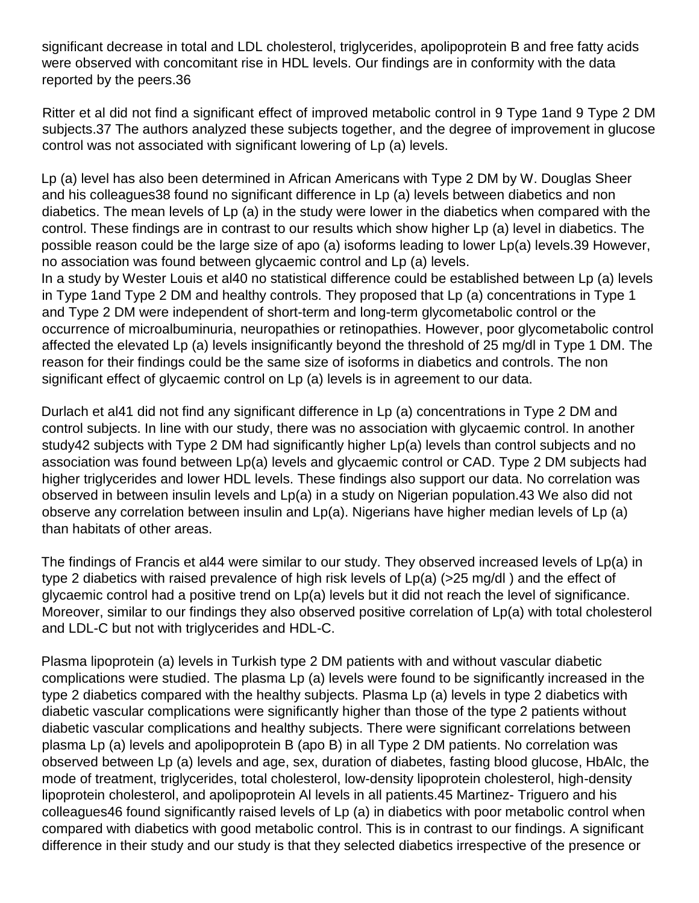significant decrease in total and LDL cholesterol, triglycerides, apolipoprotein B and free fatty acids were observed with concomitant rise in HDL levels. Our findings are in conformity with the data reported by the peers.36

Ritter et al did not find a significant effect of improved metabolic control in 9 Type 1and 9 Type 2 DM subjects.37 The authors analyzed these subjects together, and the degree of improvement in glucose control was not associated with significant lowering of Lp (a) levels.

Lp (a) level has also been determined in African Americans with Type 2 DM by W. Douglas Sheer and his colleagues38 found no significant difference in Lp (a) levels between diabetics and non diabetics. The mean levels of Lp (a) in the study were lower in the diabetics when compared with the control. These findings are in contrast to our results which show higher Lp (a) level in diabetics. The possible reason could be the large size of apo (a) isoforms leading to lower Lp(a) levels.39 However, no association was found between glycaemic control and Lp (a) levels.

In a study by Wester Louis et al40 no statistical difference could be established between Lp (a) levels in Type 1and Type 2 DM and healthy controls. They proposed that Lp (a) concentrations in Type 1 and Type 2 DM were independent of short-term and long-term glycometabolic control or the occurrence of microalbuminuria, neuropathies or retinopathies. However, poor glycometabolic control affected the elevated Lp (a) levels insignificantly beyond the threshold of 25 mg/dl in Type 1 DM. The reason for their findings could be the same size of isoforms in diabetics and controls. The non significant effect of glycaemic control on Lp (a) levels is in agreement to our data.

Durlach et al41 did not find any significant difference in Lp (a) concentrations in Type 2 DM and control subjects. In line with our study, there was no association with glycaemic control. In another study42 subjects with Type 2 DM had significantly higher Lp(a) levels than control subjects and no association was found between Lp(a) levels and glycaemic control or CAD. Type 2 DM subjects had higher triglycerides and lower HDL levels. These findings also support our data. No correlation was observed in between insulin levels and Lp(a) in a study on Nigerian population.43 We also did not observe any correlation between insulin and Lp(a). Nigerians have higher median levels of Lp (a) than habitats of other areas.

The findings of Francis et al44 were similar to our study. They observed increased levels of Lp(a) in type 2 diabetics with raised prevalence of high risk levels of Lp(a) (>25 mg/dl ) and the effect of glycaemic control had a positive trend on Lp(a) levels but it did not reach the level of significance. Moreover, similar to our findings they also observed positive correlation of Lp(a) with total cholesterol and LDL-C but not with triglycerides and HDL-C.

Plasma lipoprotein (a) levels in Turkish type 2 DM patients with and without vascular diabetic complications were studied. The plasma Lp (a) levels were found to be significantly increased in the type 2 diabetics compared with the healthy subjects. Plasma Lp (a) levels in type 2 diabetics with diabetic vascular complications were significantly higher than those of the type 2 patients without diabetic vascular complications and healthy subjects. There were significant correlations between plasma Lp (a) levels and apolipoprotein B (apo B) in all Type 2 DM patients. No correlation was observed between Lp (a) levels and age, sex, duration of diabetes, fasting blood glucose, HbAlc, the mode of treatment, triglycerides, total cholesterol, low-density lipoprotein cholesterol, high-density lipoprotein cholesterol, and apolipoprotein Al levels in all patients.45 Martinez- Triguero and his colleagues46 found significantly raised levels of Lp (a) in diabetics with poor metabolic control when compared with diabetics with good metabolic control. This is in contrast to our findings. A significant difference in their study and our study is that they selected diabetics irrespective of the presence or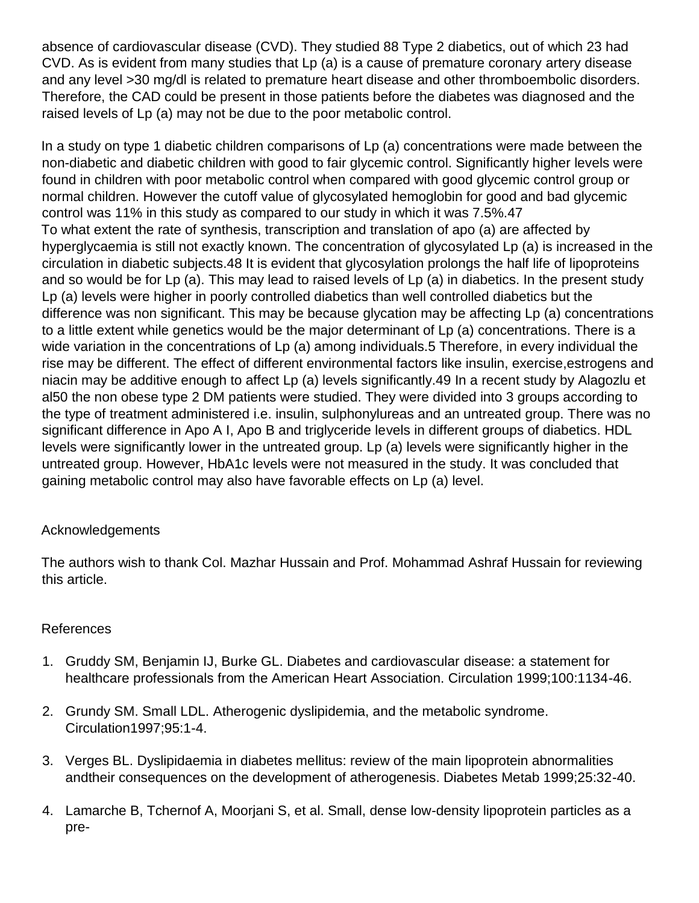absence of cardiovascular disease (CVD). They studied 88 Type 2 diabetics, out of which 23 had CVD. As is evident from many studies that Lp (a) is a cause of premature coronary artery disease and any level >30 mg/dl is related to premature heart disease and other thromboembolic disorders. Therefore, the CAD could be present in those patients before the diabetes was diagnosed and the raised levels of Lp (a) may not be due to the poor metabolic control.

In a study on type 1 diabetic children comparisons of Lp (a) concentrations were made between the non-diabetic and diabetic children with good to fair glycemic control. Significantly higher levels were found in children with poor metabolic control when compared with good glycemic control group or normal children. However the cutoff value of glycosylated hemoglobin for good and bad glycemic control was 11% in this study as compared to our study in which it was 7.5%.47 To what extent the rate of synthesis, transcription and translation of apo (a) are affected by hyperglycaemia is still not exactly known. The concentration of glycosylated Lp (a) is increased in the circulation in diabetic subjects.48 It is evident that glycosylation prolongs the half life of lipoproteins and so would be for Lp (a). This may lead to raised levels of Lp (a) in diabetics. In the present study Lp (a) levels were higher in poorly controlled diabetics than well controlled diabetics but the difference was non significant. This may be because glycation may be affecting Lp (a) concentrations to a little extent while genetics would be the major determinant of Lp (a) concentrations. There is a wide variation in the concentrations of Lp (a) among individuals.5 Therefore, in every individual the rise may be different. The effect of different environmental factors like insulin, exercise,estrogens and niacin may be additive enough to affect Lp (a) levels significantly.49 In a recent study by Alagozlu et al50 the non obese type 2 DM patients were studied. They were divided into 3 groups according to the type of treatment administered i.e. insulin, sulphonylureas and an untreated group. There was no significant difference in Apo A I, Apo B and triglyceride levels in different groups of diabetics. HDL levels were significantly lower in the untreated group. Lp (a) levels were significantly higher in the untreated group. However, HbA1c levels were not measured in the study. It was concluded that gaining metabolic control may also have favorable effects on Lp (a) level.

# Acknowledgements

The authors wish to thank Col. Mazhar Hussain and Prof. Mohammad Ashraf Hussain for reviewing this article.

# References

- 1. Gruddy SM, Benjamin IJ, Burke GL. Diabetes and cardiovascular disease: a statement for healthcare professionals from the American Heart Association. Circulation 1999;100:1134-46.
- 2. Grundy SM. Small LDL. Atherogenic dyslipidemia, and the metabolic syndrome. Circulation1997;95:1-4.
- 3. Verges BL. Dyslipidaemia in diabetes mellitus: review of the main lipoprotein abnormalities andtheir consequences on the development of atherogenesis. Diabetes Metab 1999;25:32-40.
- 4. Lamarche B, Tchernof A, Moorjani S, et al. Small, dense low-density lipoprotein particles as a pre-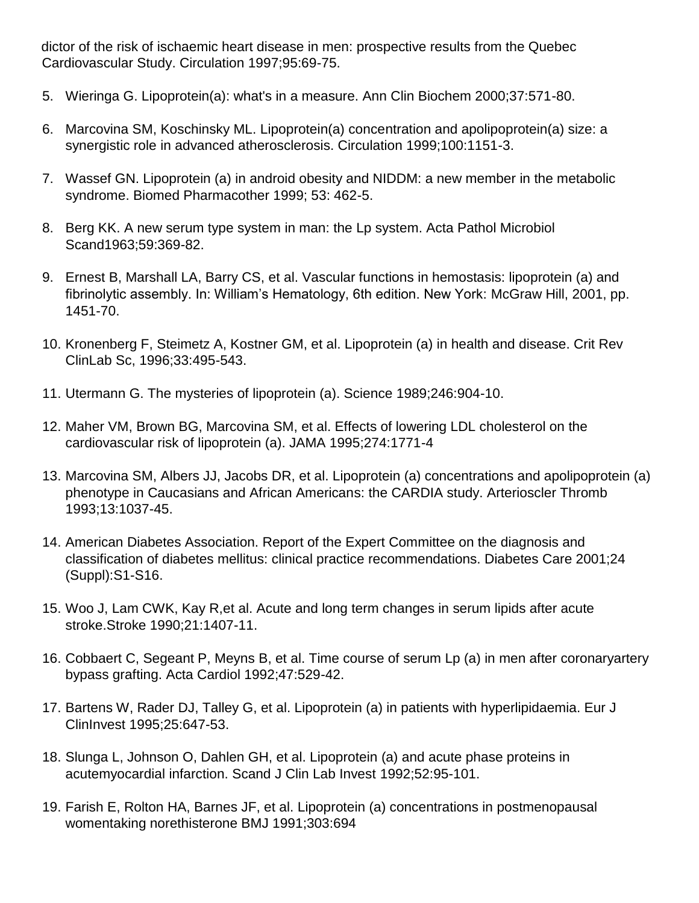dictor of the risk of ischaemic heart disease in men: prospective results from the Quebec Cardiovascular Study. Circulation 1997;95:69-75.

- 5. Wieringa G. Lipoprotein(a): what's in a measure. Ann Clin Biochem 2000;37:571-80.
- 6. Marcovina SM, Koschinsky ML. Lipoprotein(a) concentration and apolipoprotein(a) size: a synergistic role in advanced atherosclerosis. Circulation 1999;100:1151-3.
- 7. Wassef GN. Lipoprotein (a) in android obesity and NIDDM: a new member in the metabolic syndrome. Biomed Pharmacother 1999; 53: 462-5.
- 8. Berg KK. A new serum type system in man: the Lp system. Acta Pathol Microbiol Scand1963;59:369-82.
- 9. Ernest B, Marshall LA, Barry CS, et al. Vascular functions in hemostasis: lipoprotein (a) and fibrinolytic assembly. In: William's Hematology, 6th edition. New York: McGraw Hill, 2001, pp. 1451-70.
- 10. Kronenberg F, Steimetz A, Kostner GM, et al. Lipoprotein (a) in health and disease. Crit Rev ClinLab Sc, 1996;33:495-543.
- 11. Utermann G. The mysteries of lipoprotein (a). Science 1989;246:904-10.
- 12. Maher VM, Brown BG, Marcovina SM, et al. Effects of lowering LDL cholesterol on the cardiovascular risk of lipoprotein (a). JAMA 1995;274:1771-4
- 13. Marcovina SM, Albers JJ, Jacobs DR, et al. Lipoprotein (a) concentrations and apolipoprotein (a) phenotype in Caucasians and African Americans: the CARDIA study. Arterioscler Thromb 1993;13:1037-45.
- 14. American Diabetes Association. Report of the Expert Committee on the diagnosis and classification of diabetes mellitus: clinical practice recommendations. Diabetes Care 2001;24 (Suppl):S1-S16.
- 15. Woo J, Lam CWK, Kay R,et al. Acute and long term changes in serum lipids after acute stroke.Stroke 1990;21:1407-11.
- 16. Cobbaert C, Segeant P, Meyns B, et al. Time course of serum Lp (a) in men after coronaryartery bypass grafting. Acta Cardiol 1992;47:529-42.
- 17. Bartens W, Rader DJ, Talley G, et al. Lipoprotein (a) in patients with hyperlipidaemia. Eur J ClinInvest 1995;25:647-53.
- 18. Slunga L, Johnson O, Dahlen GH, et al. Lipoprotein (a) and acute phase proteins in acutemyocardial infarction. Scand J Clin Lab Invest 1992;52:95-101.
- 19. Farish E, Rolton HA, Barnes JF, et al. Lipoprotein (a) concentrations in postmenopausal womentaking norethisterone BMJ 1991;303:694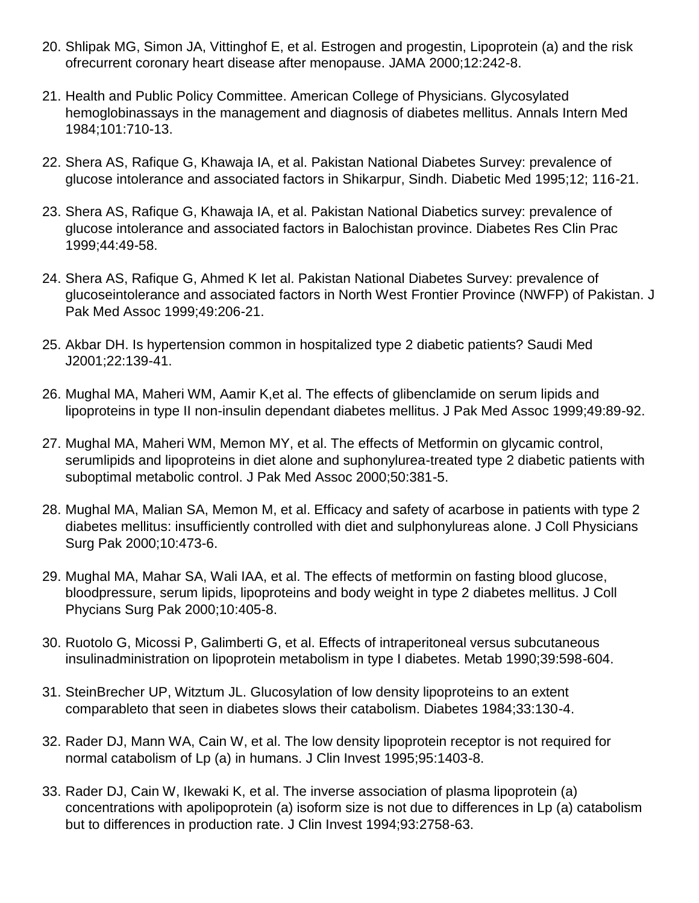- 20. Shlipak MG, Simon JA, Vittinghof E, et al. Estrogen and progestin, Lipoprotein (a) and the risk ofrecurrent coronary heart disease after menopause. JAMA 2000;12:242-8.
- 21. Health and Public Policy Committee. American College of Physicians. Glycosylated hemoglobinassays in the management and diagnosis of diabetes mellitus. Annals Intern Med 1984;101:710-13.
- 22. Shera AS, Rafique G, Khawaja IA, et al. Pakistan National Diabetes Survey: prevalence of glucose intolerance and associated factors in Shikarpur, Sindh. Diabetic Med 1995;12; 116-21.
- 23. Shera AS, Rafique G, Khawaja IA, et al. Pakistan National Diabetics survey: prevalence of glucose intolerance and associated factors in Balochistan province. Diabetes Res Clin Prac 1999;44:49-58.
- 24. Shera AS, Rafique G, Ahmed K Iet al. Pakistan National Diabetes Survey: prevalence of glucoseintolerance and associated factors in North West Frontier Province (NWFP) of Pakistan. J Pak Med Assoc 1999;49:206-21.
- 25. Akbar DH. Is hypertension common in hospitalized type 2 diabetic patients? Saudi Med J2001;22:139-41.
- 26. Mughal MA, Maheri WM, Aamir K,et al. The effects of glibenclamide on serum lipids and lipoproteins in type II non-insulin dependant diabetes mellitus. J Pak Med Assoc 1999;49:89-92.
- 27. Mughal MA, Maheri WM, Memon MY, et al. The effects of Metformin on glycamic control, serumlipids and lipoproteins in diet alone and suphonylurea-treated type 2 diabetic patients with suboptimal metabolic control. J Pak Med Assoc 2000;50:381-5.
- 28. Mughal MA, Malian SA, Memon M, et al. Efficacy and safety of acarbose in patients with type 2 diabetes mellitus: insufficiently controlled with diet and sulphonylureas alone. J Coll Physicians Surg Pak 2000;10:473-6.
- 29. Mughal MA, Mahar SA, Wali IAA, et al. The effects of metformin on fasting blood glucose, bloodpressure, serum lipids, lipoproteins and body weight in type 2 diabetes mellitus. J Coll Phycians Surg Pak 2000;10:405-8.
- 30. Ruotolo G, Micossi P, Galimberti G, et al. Effects of intraperitoneal versus subcutaneous insulinadministration on lipoprotein metabolism in type I diabetes. Metab 1990;39:598-604.
- 31. SteinBrecher UP, Witztum JL. Glucosylation of low density lipoproteins to an extent comparableto that seen in diabetes slows their catabolism. Diabetes 1984;33:130-4.
- 32. Rader DJ, Mann WA, Cain W, et al. The low density lipoprotein receptor is not required for normal catabolism of Lp (a) in humans. J Clin Invest 1995;95:1403-8.
- 33. Rader DJ, Cain W, Ikewaki K, et al. The inverse association of plasma lipoprotein (a) concentrations with apolipoprotein (a) isoform size is not due to differences in Lp (a) catabolism but to differences in production rate. J Clin Invest 1994;93:2758-63.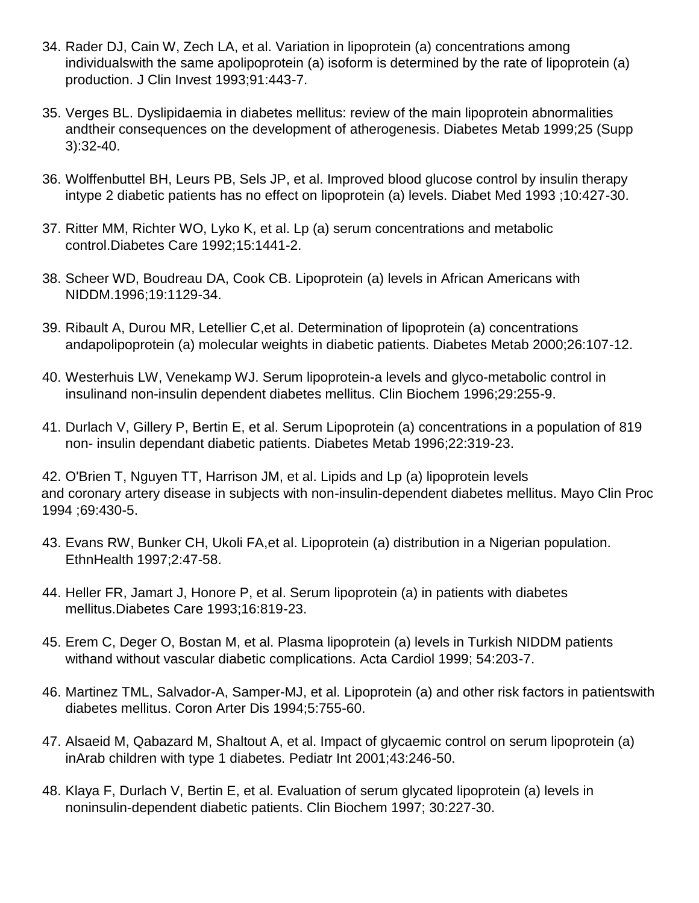- 34. Rader DJ, Cain W, Zech LA, et al. Variation in lipoprotein (a) concentrations among individualswith the same apolipoprotein (a) isoform is determined by the rate of lipoprotein (a) production. J Clin Invest 1993;91:443-7.
- 35. Verges BL. Dyslipidaemia in diabetes mellitus: review of the main lipoprotein abnormalities andtheir consequences on the development of atherogenesis. Diabetes Metab 1999;25 (Supp 3):32-40.
- 36. Wolffenbuttel BH, Leurs PB, Sels JP, et al. Improved blood glucose control by insulin therapy intype 2 diabetic patients has no effect on lipoprotein (a) levels. Diabet Med 1993 ;10:427-30.
- 37. Ritter MM, Richter WO, Lyko K, et al. Lp (a) serum concentrations and metabolic control.Diabetes Care 1992;15:1441-2.
- 38. Scheer WD, Boudreau DA, Cook CB. Lipoprotein (a) levels in African Americans with NIDDM.1996;19:1129-34.
- 39. Ribault A, Durou MR, Letellier C,et al. Determination of lipoprotein (a) concentrations andapolipoprotein (a) molecular weights in diabetic patients. Diabetes Metab 2000;26:107-12.
- 40. Westerhuis LW, Venekamp WJ. Serum lipoprotein-a levels and glyco-metabolic control in insulinand non-insulin dependent diabetes mellitus. Clin Biochem 1996;29:255-9.
- 41. Durlach V, Gillery P, Bertin E, et al. Serum Lipoprotein (a) concentrations in a population of 819 non- insulin dependant diabetic patients. Diabetes Metab 1996;22:319-23.

42. O'Brien T, Nguyen TT, Harrison JM, et al. Lipids and Lp (a) lipoprotein levels and coronary artery disease in subjects with non-insulin-dependent diabetes mellitus. Mayo Clin Proc 1994 ;69:430-5.

- 43. Evans RW, Bunker CH, Ukoli FA,et al. Lipoprotein (a) distribution in a Nigerian population. EthnHealth 1997;2:47-58.
- 44. Heller FR, Jamart J, Honore P, et al. Serum lipoprotein (a) in patients with diabetes mellitus.Diabetes Care 1993;16:819-23.
- 45. Erem C, Deger O, Bostan M, et al. Plasma lipoprotein (a) levels in Turkish NIDDM patients withand without vascular diabetic complications. Acta Cardiol 1999; 54:203-7.
- 46. Martinez TML, Salvador-A, Samper-MJ, et al. Lipoprotein (a) and other risk factors in patientswith diabetes mellitus. Coron Arter Dis 1994;5:755-60.
- 47. Alsaeid M, Qabazard M, Shaltout A, et al. Impact of glycaemic control on serum lipoprotein (a) inArab children with type 1 diabetes. Pediatr Int 2001;43:246-50.
- 48. Klaya F, Durlach V, Bertin E, et al. Evaluation of serum glycated lipoprotein (a) levels in noninsulin-dependent diabetic patients. Clin Biochem 1997; 30:227-30.